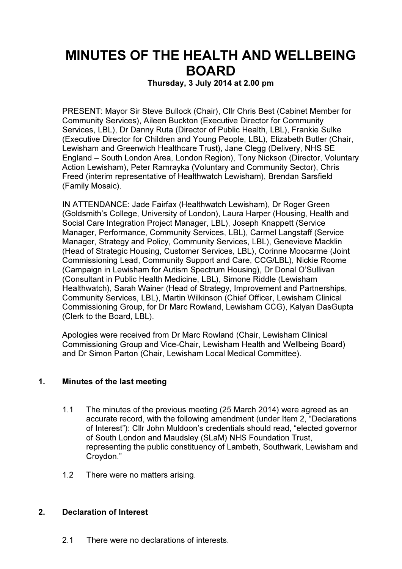# MINUTES OF THE HEALTH AND WELLBEING BOARD

Thursday, 3 July 2014 at 2.00 pm

PRESENT: Mayor Sir Steve Bullock (Chair), Cllr Chris Best (Cabinet Member for Community Services), Aileen Buckton (Executive Director for Community Services, LBL), Dr Danny Ruta (Director of Public Health, LBL), Frankie Sulke (Executive Director for Children and Young People, LBL), Elizabeth Butler (Chair, Lewisham and Greenwich Healthcare Trust), Jane Clegg (Delivery, NHS SE England – South London Area, London Region), Tony Nickson (Director, Voluntary Action Lewisham), Peter Ramrayka (Voluntary and Community Sector), Chris Freed (interim representative of Healthwatch Lewisham), Brendan Sarsfield (Family Mosaic).

IN ATTENDANCE: Jade Fairfax (Healthwatch Lewisham), Dr Roger Green (Goldsmith's College, University of London), Laura Harper (Housing, Health and Social Care Integration Project Manager, LBL), Joseph Knappett (Service Manager, Performance, Community Services, LBL), Carmel Langstaff (Service Manager, Strategy and Policy, Community Services, LBL), Genevieve Macklin (Head of Strategic Housing, Customer Services, LBL), Corinne Moocarme (Joint Commissioning Lead, Community Support and Care, CCG/LBL), Nickie Roome (Campaign in Lewisham for Autism Spectrum Housing), Dr Donal O'Sullivan (Consultant in Public Health Medicine, LBL), Simone Riddle (Lewisham Healthwatch), Sarah Wainer (Head of Strategy, Improvement and Partnerships, Community Services, LBL), Martin Wilkinson (Chief Officer, Lewisham Clinical Commissioning Group, for Dr Marc Rowland, Lewisham CCG), Kalyan DasGupta (Clerk to the Board, LBL).

Apologies were received from Dr Marc Rowland (Chair, Lewisham Clinical Commissioning Group and Vice-Chair, Lewisham Health and Wellbeing Board) and Dr Simon Parton (Chair, Lewisham Local Medical Committee).

# 1. Minutes of the last meeting

- 1.1 The minutes of the previous meeting (25 March 2014) were agreed as an accurate record, with the following amendment (under Item 2, "Declarations of Interest"): Cllr John Muldoon's credentials should read, "elected governor of South London and Maudsley (SLaM) NHS Foundation Trust, representing the public constituency of Lambeth, Southwark, Lewisham and Croydon."
- 1.2 There were no matters arising.

### 2. Declaration of Interest

2.1 There were no declarations of interests.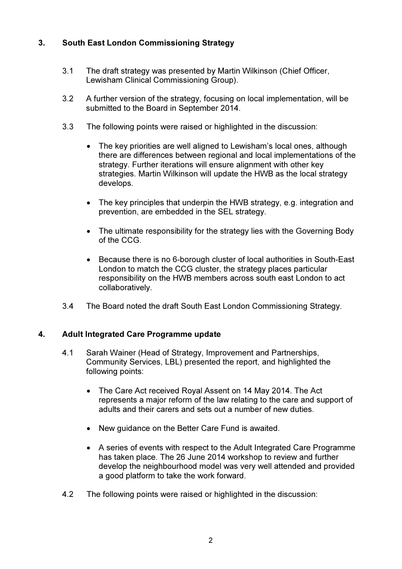# 3. South East London Commissioning Strategy

- 3.1 The draft strategy was presented by Martin Wilkinson (Chief Officer, Lewisham Clinical Commissioning Group).
- 3.2 A further version of the strategy, focusing on local implementation, will be submitted to the Board in September 2014.
- 3.3 The following points were raised or highlighted in the discussion:
	- The key priorities are well aligned to Lewisham's local ones, although there are differences between regional and local implementations of the strategy. Further iterations will ensure alignment with other key strategies. Martin Wilkinson will update the HWB as the local strategy develops.
	- The key principles that underpin the HWB strategy, e.g. integration and prevention, are embedded in the SEL strategy.
	- The ultimate responsibility for the strategy lies with the Governing Body of the CCG.
	- Because there is no 6-borough cluster of local authorities in South-East London to match the CCG cluster, the strategy places particular responsibility on the HWB members across south east London to act collaboratively.
- 3.4 The Board noted the draft South East London Commissioning Strategy.

# 4. Adult Integrated Care Programme update

- 4.1 Sarah Wainer (Head of Strategy, Improvement and Partnerships, Community Services, LBL) presented the report, and highlighted the following points:
	- The Care Act received Royal Assent on 14 May 2014. The Act represents a major reform of the law relating to the care and support of adults and their carers and sets out a number of new duties.
	- New guidance on the Better Care Fund is awaited.
	- A series of events with respect to the Adult Integrated Care Programme has taken place. The 26 June 2014 workshop to review and further develop the neighbourhood model was very well attended and provided a good platform to take the work forward.
- 4.2 The following points were raised or highlighted in the discussion: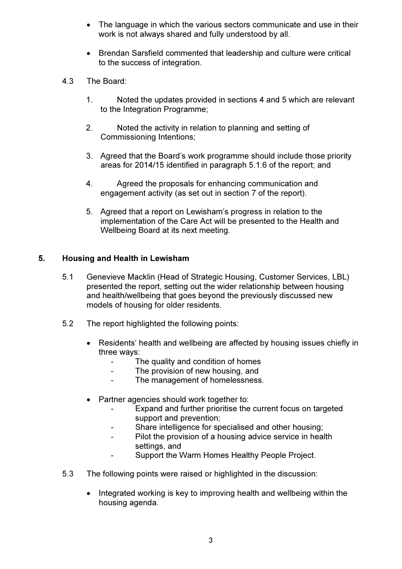- The language in which the various sectors communicate and use in their work is not always shared and fully understood by all.
- Brendan Sarsfield commented that leadership and culture were critical to the success of integration.
- 4.3 The Board:
	- 1. Noted the updates provided in sections 4 and 5 which are relevant to the Integration Programme;
	- 2. Noted the activity in relation to planning and setting of Commissioning Intentions;
	- 3. Agreed that the Board's work programme should include those priority areas for 2014/15 identified in paragraph 5.1.6 of the report; and
	- 4. Agreed the proposals for enhancing communication and engagement activity (as set out in section 7 of the report).
	- 5. Agreed that a report on Lewisham's progress in relation to the implementation of the Care Act will be presented to the Health and Wellbeing Board at its next meeting.

# 5. Housing and Health in Lewisham

- 5.1 Genevieve Macklin (Head of Strategic Housing, Customer Services, LBL) presented the report, setting out the wider relationship between housing and health/wellbeing that goes beyond the previously discussed new models of housing for older residents.
- 5.2 The report highlighted the following points:
	- Residents' health and wellbeing are affected by housing issues chiefly in three ways:
		- The quality and condition of homes
		- The provision of new housing, and
		- The management of homelessness.
	- Partner agencies should work together to:
		- Expand and further prioritise the current focus on targeted support and prevention;
		- Share intelligence for specialised and other housing;
		- Pilot the provision of a housing advice service in health settings, and
		- Support the Warm Homes Healthy People Project.
- 5.3 The following points were raised or highlighted in the discussion:
	- Integrated working is key to improving health and wellbeing within the housing agenda.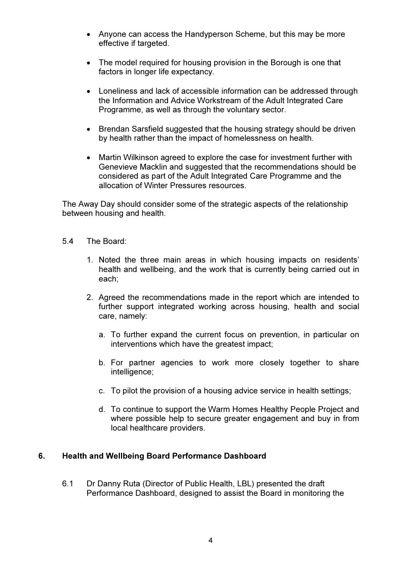- Anyone can access the Handyperson Scheme, but this may be more effective if targeted.
- The model required for housing provision in the Borough is one that factors in longer life expectancy.
- Loneliness and lack of accessible information can be addressed through the Information and Advice Workstream of the Adult Integrated Care Programme, as well as through the voluntary sector.
- Brendan Sarsfield suggested that the housing strategy should be driven by health rather than the impact of homelessness on health.
- Martin Wilkinson agreed to explore the case for investment further with Genevieve Macklin and suggested that the recommendations should be considered as part of the Adult Integrated Care Programme and the allocation of Winter Pressures resources.

The Away Day should consider some of the strategic aspects of the relationship between housing and health.

- 5.4 The Board:
	- 1. Noted the three main areas in which housing impacts on residents' health and wellbeing, and the work that is currently being carried out in each;
	- 2. Agreed the recommendations made in the report which are intended to further support integrated working across housing, health and social care, namely:
		- a. To further expand the current focus on prevention, in particular on interventions which have the greatest impact;
		- b. For partner agencies to work more closely together to share intelligence;
		- c. To pilot the provision of a housing advice service in health settings;
		- d. To continue to support the Warm Homes Healthy People Project and where possible help to secure greater engagement and buy in from local healthcare providers.

### 6. Health and Wellbeing Board Performance Dashboard

6.1 Dr Danny Ruta (Director of Public Health, LBL) presented the draft Performance Dashboard, designed to assist the Board in monitoring the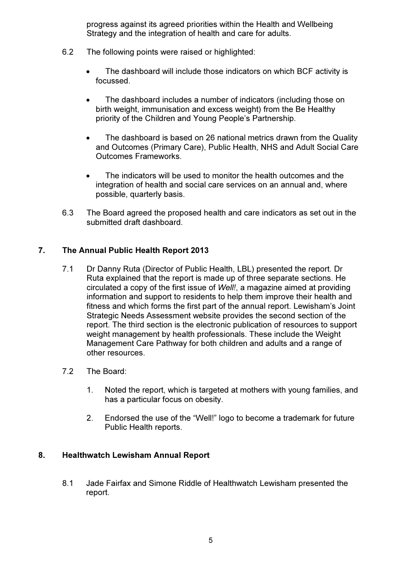progress against its agreed priorities within the Health and Wellbeing Strategy and the integration of health and care for adults.

- 6.2 The following points were raised or highlighted:
	- The dashboard will include those indicators on which BCF activity is focussed.
	- The dashboard includes a number of indicators (including those on birth weight, immunisation and excess weight) from the Be Healthy priority of the Children and Young People's Partnership.
	- The dashboard is based on 26 national metrics drawn from the Quality and Outcomes (Primary Care), Public Health, NHS and Adult Social Care Outcomes Frameworks.
	- The indicators will be used to monitor the health outcomes and the integration of health and social care services on an annual and, where possible, quarterly basis.
- 6.3 The Board agreed the proposed health and care indicators as set out in the submitted draft dashboard.

# 7. The Annual Public Health Report 2013

- 7.1 Dr Danny Ruta (Director of Public Health, LBL) presented the report. Dr Ruta explained that the report is made up of three separate sections. He circulated a copy of the first issue of Well!, a magazine aimed at providing information and support to residents to help them improve their health and fitness and which forms the first part of the annual report. Lewisham's Joint Strategic Needs Assessment website provides the second section of the report. The third section is the electronic publication of resources to support weight management by health professionals. These include the Weight Management Care Pathway for both children and adults and a range of other resources.
- 7.2 The Board:
	- 1. Noted the report, which is targeted at mothers with young families, and has a particular focus on obesity.
	- 2. Endorsed the use of the "Well!" logo to become a trademark for future Public Health reports.

### 8. Healthwatch Lewisham Annual Report

8.1 Jade Fairfax and Simone Riddle of Healthwatch Lewisham presented the report.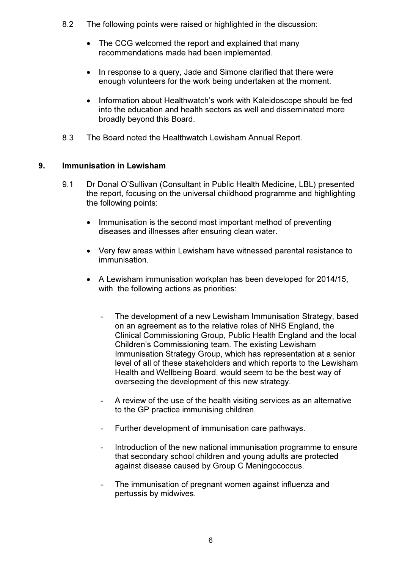- 8.2 The following points were raised or highlighted in the discussion:
	- The CCG welcomed the report and explained that many recommendations made had been implemented.
	- In response to a query, Jade and Simone clarified that there were enough volunteers for the work being undertaken at the moment.
	- Information about Healthwatch's work with Kaleidoscope should be fed into the education and health sectors as well and disseminated more broadly beyond this Board.
- 8.3 The Board noted the Healthwatch Lewisham Annual Report.

## 9. Immunisation in Lewisham

- 9.1 Dr Donal O'Sullivan (Consultant in Public Health Medicine, LBL) presented the report, focusing on the universal childhood programme and highlighting the following points:
	- Immunisation is the second most important method of preventing diseases and illnesses after ensuring clean water.
	- Very few areas within Lewisham have witnessed parental resistance to immunisation.
	- A Lewisham immunisation workplan has been developed for 2014/15, with the following actions as priorities:
		- The development of a new Lewisham Immunisation Strategy, based on an agreement as to the relative roles of NHS England, the Clinical Commissioning Group, Public Health England and the local Children's Commissioning team. The existing Lewisham Immunisation Strategy Group, which has representation at a senior level of all of these stakeholders and which reports to the Lewisham Health and Wellbeing Board, would seem to be the best way of overseeing the development of this new strategy.
		- A review of the use of the health visiting services as an alternative to the GP practice immunising children.
		- Further development of immunisation care pathways.
		- Introduction of the new national immunisation programme to ensure that secondary school children and young adults are protected against disease caused by Group C Meningococcus.
		- The immunisation of pregnant women against influenza and pertussis by midwives.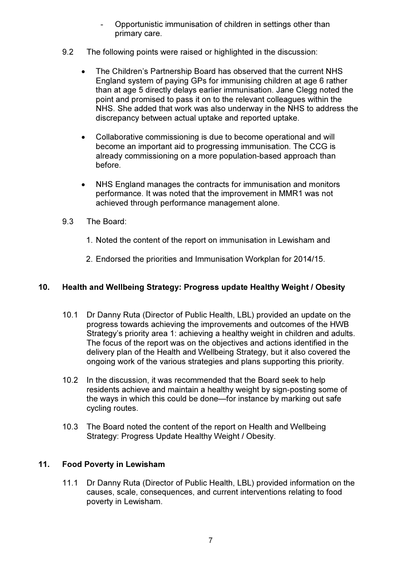- Opportunistic immunisation of children in settings other than primary care.
- 9.2 The following points were raised or highlighted in the discussion:
	- The Children's Partnership Board has observed that the current NHS England system of paying GPs for immunising children at age 6 rather than at age 5 directly delays earlier immunisation. Jane Clegg noted the point and promised to pass it on to the relevant colleagues within the NHS. She added that work was also underway in the NHS to address the discrepancy between actual uptake and reported uptake.
	- Collaborative commissioning is due to become operational and will become an important aid to progressing immunisation. The CCG is already commissioning on a more population-based approach than before.
	- NHS England manages the contracts for immunisation and monitors performance. It was noted that the improvement in MMR1 was not achieved through performance management alone.
- 9.3 The Board:
	- 1. Noted the content of the report on immunisation in Lewisham and
	- 2. Endorsed the priorities and Immunisation Workplan for 2014/15.

## 10. Health and Wellbeing Strategy: Progress update Healthy Weight / Obesity

- 10.1 Dr Danny Ruta (Director of Public Health, LBL) provided an update on the progress towards achieving the improvements and outcomes of the HWB Strategy's priority area 1: achieving a healthy weight in children and adults. The focus of the report was on the objectives and actions identified in the delivery plan of the Health and Wellbeing Strategy, but it also covered the ongoing work of the various strategies and plans supporting this priority.
- 10.2 In the discussion, it was recommended that the Board seek to help residents achieve and maintain a healthy weight by sign-posting some of the ways in which this could be done—for instance by marking out safe cycling routes.
- 10.3 The Board noted the content of the report on Health and Wellbeing Strategy: Progress Update Healthy Weight / Obesity.

# 11. Food Poverty in Lewisham

11.1 Dr Danny Ruta (Director of Public Health, LBL) provided information on the causes, scale, consequences, and current interventions relating to food poverty in Lewisham.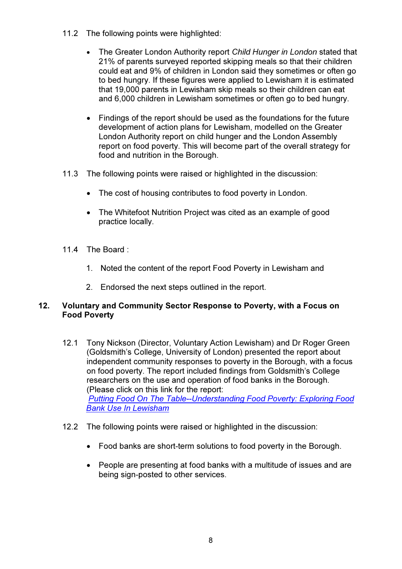- 11.2 The following points were highlighted:
	- The Greater London Authority report Child Hunger in London stated that 21% of parents surveyed reported skipping meals so that their children could eat and 9% of children in London said they sometimes or often go to bed hungry. If these figures were applied to Lewisham it is estimated that 19,000 parents in Lewisham skip meals so their children can eat and 6,000 children in Lewisham sometimes or often go to bed hungry.
	- Findings of the report should be used as the foundations for the future development of action plans for Lewisham, modelled on the Greater London Authority report on child hunger and the London Assembly report on food poverty. This will become part of the overall strategy for food and nutrition in the Borough.
- 11.3 The following points were raised or highlighted in the discussion:
	- The cost of housing contributes to food poverty in London.
	- The Whitefoot Nutrition Project was cited as an example of good practice locally.
- 11.4 The Board  $\cdot$ 
	- 1. Noted the content of the report Food Poverty in Lewisham and
	- 2. Endorsed the next steps outlined in the report.

### 12. Voluntary and Community Sector Response to Poverty, with a Focus on Food Poverty

- 12.1 Tony Nickson (Director, Voluntary Action Lewisham) and Dr Roger Green (Goldsmith's College, University of London) presented the report about independent community responses to poverty in the Borough, with a focus on food poverty. The report included findings from Goldsmith's College researchers on the use and operation of food banks in the Borough. (Please click on this link for the report: Putting Food On The Table--Understanding Food Poverty: Exploring Food Bank Use In Lewisham
- 12.2 The following points were raised or highlighted in the discussion:
	- Food banks are short-term solutions to food poverty in the Borough.
	- People are presenting at food banks with a multitude of issues and are being sign-posted to other services.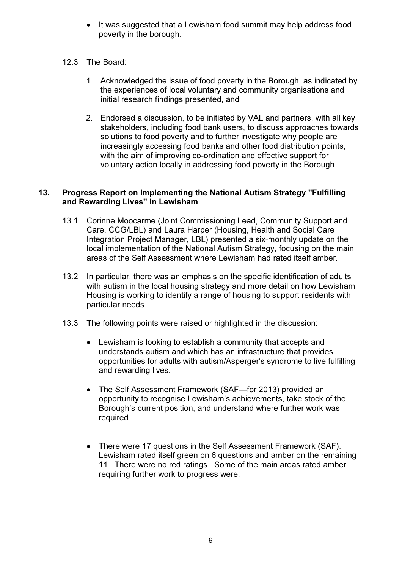- It was suggested that a Lewisham food summit may help address food poverty in the borough.
- 12.3 The Board:
	- 1. Acknowledged the issue of food poverty in the Borough, as indicated by the experiences of local voluntary and community organisations and initial research findings presented, and
	- 2. Endorsed a discussion, to be initiated by VAL and partners, with all key stakeholders, including food bank users, to discuss approaches towards solutions to food poverty and to further investigate why people are increasingly accessing food banks and other food distribution points, with the aim of improving co-ordination and effective support for voluntary action locally in addressing food poverty in the Borough.

## 13. Progress Report on Implementing the National Autism Strategy "Fulfilling and Rewarding Lives" in Lewisham

- 13.1 Corinne Moocarme (Joint Commissioning Lead, Community Support and Care, CCG/LBL) and Laura Harper (Housing, Health and Social Care Integration Project Manager, LBL) presented a six-monthly update on the local implementation of the National Autism Strategy, focusing on the main areas of the Self Assessment where Lewisham had rated itself amber.
- 13.2 In particular, there was an emphasis on the specific identification of adults with autism in the local housing strategy and more detail on how Lewisham Housing is working to identify a range of housing to support residents with particular needs.
- 13.3 The following points were raised or highlighted in the discussion:
	- Lewisham is looking to establish a community that accepts and understands autism and which has an infrastructure that provides opportunities for adults with autism/Asperger's syndrome to live fulfilling and rewarding lives.
	- The Self Assessment Framework (SAF—for 2013) provided an opportunity to recognise Lewisham's achievements, take stock of the Borough's current position, and understand where further work was required.
	- There were 17 questions in the Self Assessment Framework (SAF). Lewisham rated itself green on 6 questions and amber on the remaining 11. There were no red ratings. Some of the main areas rated amber requiring further work to progress were: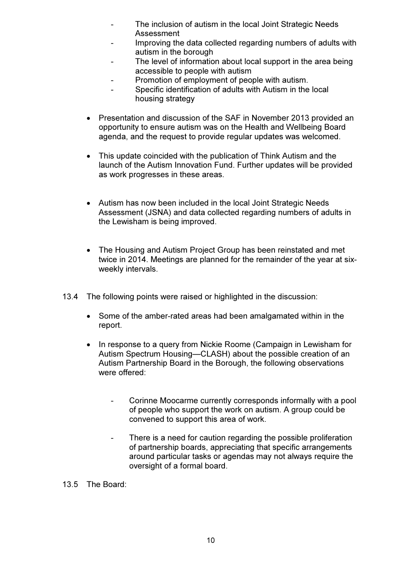- The inclusion of autism in the local Joint Strategic Needs Assessment
- Improving the data collected regarding numbers of adults with autism in the borough
- The level of information about local support in the area being accessible to people with autism
- Promotion of employment of people with autism.
- Specific identification of adults with Autism in the local housing strategy
- Presentation and discussion of the SAF in November 2013 provided an opportunity to ensure autism was on the Health and Wellbeing Board agenda, and the request to provide regular updates was welcomed.
- This update coincided with the publication of Think Autism and the launch of the Autism Innovation Fund. Further updates will be provided as work progresses in these areas.
- Autism has now been included in the local Joint Strategic Needs Assessment (JSNA) and data collected regarding numbers of adults in the Lewisham is being improved.
- The Housing and Autism Project Group has been reinstated and met twice in 2014. Meetings are planned for the remainder of the year at sixweekly intervals.
- 13.4 The following points were raised or highlighted in the discussion:
	- Some of the amber-rated areas had been amalgamated within in the report.
	- In response to a query from Nickie Roome (Campaign in Lewisham for Autism Spectrum Housing—CLASH) about the possible creation of an Autism Partnership Board in the Borough, the following observations were offered:
		- Corinne Moocarme currently corresponds informally with a pool of people who support the work on autism. A group could be convened to support this area of work.
		- There is a need for caution regarding the possible proliferation of partnership boards, appreciating that specific arrangements around particular tasks or agendas may not always require the oversight of a formal board.

13.5 The Board: